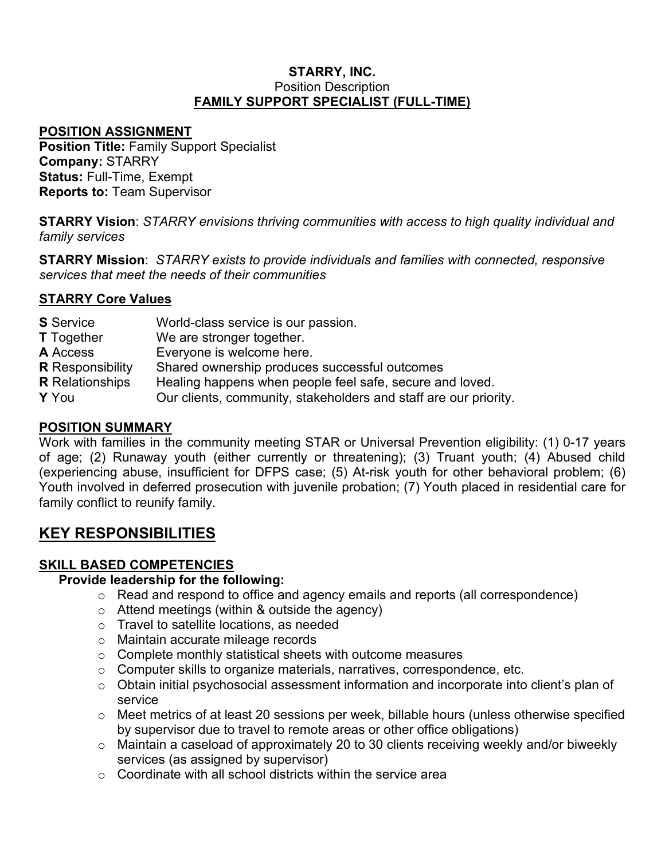#### **STARRY, INC.** Position Description **FAMILY SUPPORT SPECIALIST (FULL-TIME)**

#### **POSITION ASSIGNMENT**

**Position Title:** Family Support Specialist **Company:** STARRY **Status:** Full-Time, Exempt **Reports to:** Team Supervisor

**STARRY Vision**: *STARRY envisions thriving communities with access to high quality individual and family services*

**STARRY Mission**: *STARRY exists to provide individuals and families with connected, responsive services that meet the needs of their communities*

## **STARRY Core Values**

| <b>S</b> Service        | World-class service is our passion.                              |
|-------------------------|------------------------------------------------------------------|
| <b>T</b> Together       | We are stronger together.                                        |
| <b>A</b> Access         | Everyone is welcome here.                                        |
| <b>R</b> Responsibility | Shared ownership produces successful outcomes                    |
| <b>R</b> Relationships  | Healing happens when people feel safe, secure and loved.         |
| Y You                   | Our clients, community, stakeholders and staff are our priority. |
|                         |                                                                  |

## **POSITION SUMMARY**

Work with families in the community meeting STAR or Universal Prevention eligibility: (1) 0-17 years of age; (2) Runaway youth (either currently or threatening); (3) Truant youth; (4) Abused child (experiencing abuse, insufficient for DFPS case; (5) At-risk youth for other behavioral problem; (6) Youth involved in deferred prosecution with juvenile probation; (7) Youth placed in residential care for family conflict to reunify family.

# **KEY RESPONSIBILITIES**

#### **SKILL BASED COMPETENCIES**

#### **Provide leadership for the following:**

- o Read and respond to office and agency emails and reports (all correspondence)
- o Attend meetings (within & outside the agency)
- o Travel to satellite locations, as needed
- o Maintain accurate mileage records
- $\circ$  Complete monthly statistical sheets with outcome measures
- o Computer skills to organize materials, narratives, correspondence, etc.
- o Obtain initial psychosocial assessment information and incorporate into client's plan of service
- $\circ$  Meet metrics of at least 20 sessions per week, billable hours (unless otherwise specified by supervisor due to travel to remote areas or other office obligations)
- o Maintain a caseload of approximately 20 to 30 clients receiving weekly and/or biweekly services (as assigned by supervisor)
- $\circ$  Coordinate with all school districts within the service area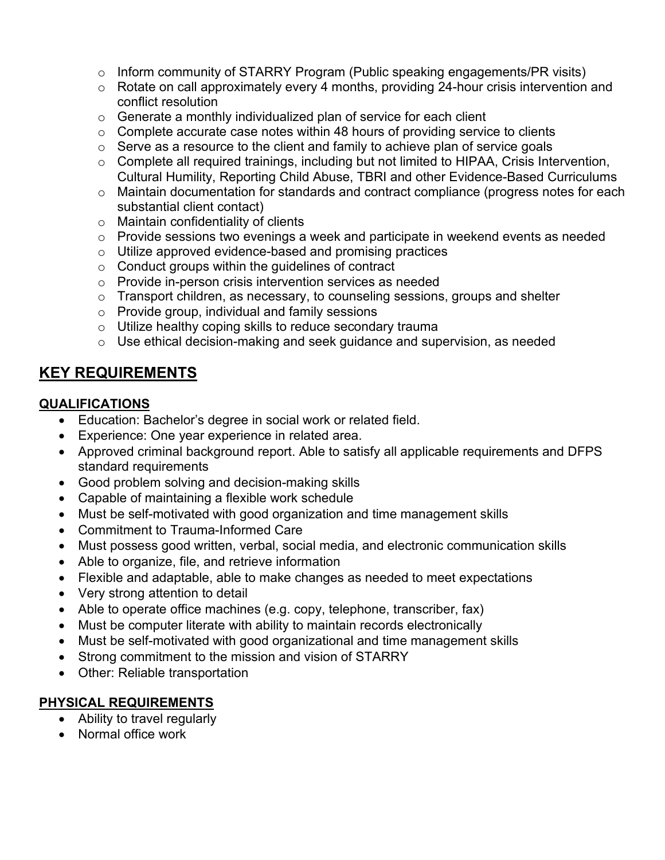- o Inform community of STARRY Program (Public speaking engagements/PR visits)
- o Rotate on call approximately every 4 months, providing 24-hour crisis intervention and conflict resolution
- $\circ$  Generate a monthly individualized plan of service for each client
- $\circ$  Complete accurate case notes within 48 hours of providing service to clients
- $\circ$  Serve as a resource to the client and family to achieve plan of service goals
- o Complete all required trainings, including but not limited to HIPAA, Crisis Intervention, Cultural Humility, Reporting Child Abuse, TBRI and other Evidence-Based Curriculums
- o Maintain documentation for standards and contract compliance (progress notes for each substantial client contact)
- o Maintain confidentiality of clients
- o Provide sessions two evenings a week and participate in weekend events as needed
- o Utilize approved evidence-based and promising practices
- $\circ$  Conduct groups within the guidelines of contract
- o Provide in-person crisis intervention services as needed
- o Transport children, as necessary, to counseling sessions, groups and shelter
- o Provide group, individual and family sessions
- o Utilize healthy coping skills to reduce secondary trauma
- o Use ethical decision-making and seek guidance and supervision, as needed

# **KEY REQUIREMENTS**

# **QUALIFICATIONS**

- Education: Bachelor's degree in social work or related field.
- Experience: One year experience in related area.
- Approved criminal background report. Able to satisfy all applicable requirements and DFPS standard requirements
- Good problem solving and decision-making skills
- Capable of maintaining a flexible work schedule
- Must be self-motivated with good organization and time management skills
- Commitment to Trauma-Informed Care
- Must possess good written, verbal, social media, and electronic communication skills
- Able to organize, file, and retrieve information
- Flexible and adaptable, able to make changes as needed to meet expectations
- Very strong attention to detail
- Able to operate office machines (e.g. copy, telephone, transcriber, fax)
- Must be computer literate with ability to maintain records electronically
- Must be self-motivated with good organizational and time management skills
- Strong commitment to the mission and vision of STARRY
- Other: Reliable transportation

# **PHYSICAL REQUIREMENTS**

- Ability to travel regularly
- Normal office work